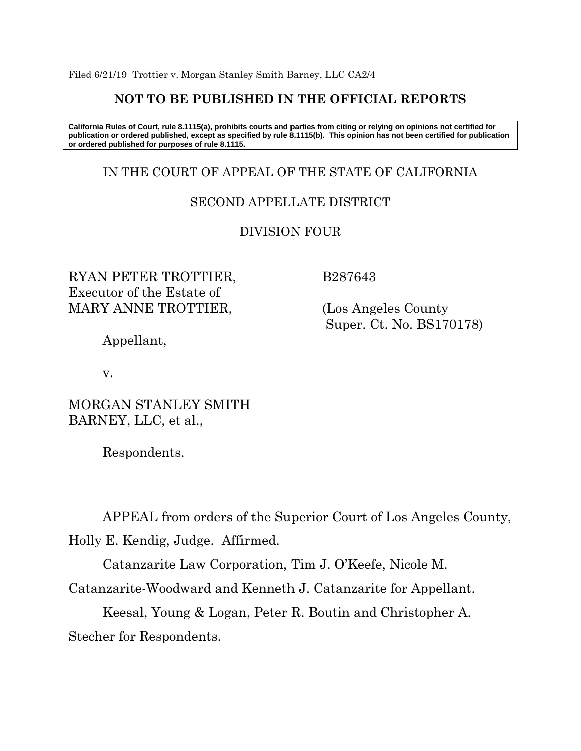Filed 6/21/19 Trottier v. Morgan Stanley Smith Barney, LLC CA2/4

# **NOT TO BE PUBLISHED IN THE OFFICIAL REPORTS**

**California Rules of Court, rule 8.1115(a), prohibits courts and parties from citing or relying on opinions not certified for publication or ordered published, except as specified by rule 8.1115(b). This opinion has not been certified for publication or ordered published for purposes of rule 8.1115.**

# IN THE COURT OF APPEAL OF THE STATE OF CALIFORNIA

## SECOND APPELLATE DISTRICT

DIVISION FOUR

RYAN PETER TROTTIER, Executor of the Estate of MARY ANNE TROTTIER,

Appellant,

v.

MORGAN STANLEY SMITH BARNEY, LLC, et al.,

Respondents.

B287643

 (Los Angeles County Super. Ct. No. BS170178)

APPEAL from orders of the Superior Court of Los Angeles County, Holly E. Kendig, Judge. Affirmed.

Catanzarite Law Corporation, Tim J. O'Keefe, Nicole M.

Catanzarite-Woodward and Kenneth J. Catanzarite for Appellant.

Keesal, Young & Logan, Peter R. Boutin and Christopher A. Stecher for Respondents.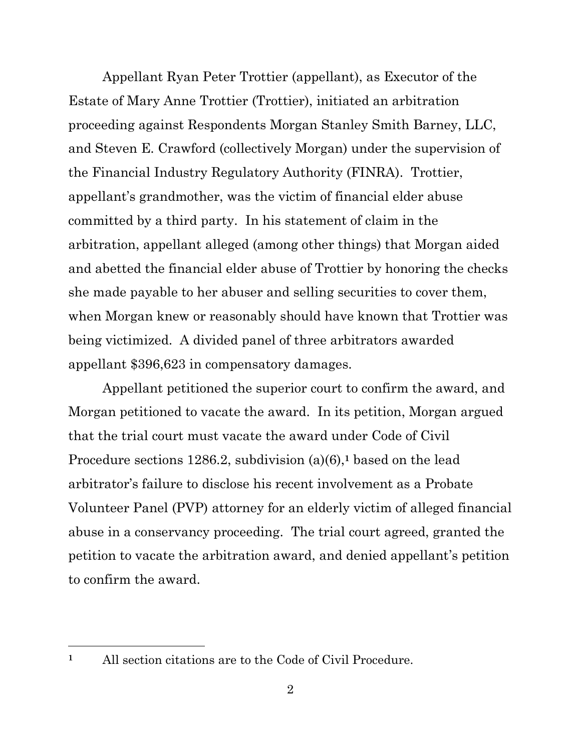Appellant Ryan Peter Trottier (appellant), as Executor of the Estate of Mary Anne Trottier (Trottier), initiated an arbitration proceeding against Respondents Morgan Stanley Smith Barney, LLC, and Steven E. Crawford (collectively Morgan) under the supervision of the Financial Industry Regulatory Authority (FINRA). Trottier, appellant's grandmother, was the victim of financial elder abuse committed by a third party. In his statement of claim in the arbitration, appellant alleged (among other things) that Morgan aided and abetted the financial elder abuse of Trottier by honoring the checks she made payable to her abuser and selling securities to cover them, when Morgan knew or reasonably should have known that Trottier was being victimized. A divided panel of three arbitrators awarded appellant \$396,623 in compensatory damages.

Appellant petitioned the superior court to confirm the award, and Morgan petitioned to vacate the award. In its petition, Morgan argued that the trial court must vacate the award under Code of Civil Procedure sections 1286.2, subdivision (a)(6),**<sup>1</sup>** based on the lead arbitrator's failure to disclose his recent involvement as a Probate Volunteer Panel (PVP) attorney for an elderly victim of alleged financial abuse in a conservancy proceeding. The trial court agreed, granted the petition to vacate the arbitration award, and denied appellant's petition to confirm the award.

**<sup>1</sup>** All section citations are to the Code of Civil Procedure.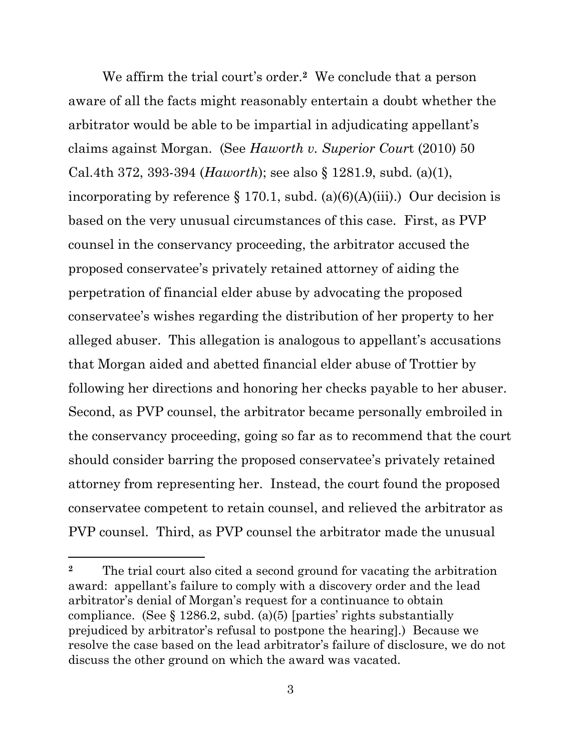We affirm the trial court's order.**2** We conclude that a person aware of all the facts might reasonably entertain a doubt whether the arbitrator would be able to be impartial in adjudicating appellant's claims against Morgan. (See *Haworth v. Superior Cour*t (2010) 50 Cal.4th 372, 393-394 (*Haworth*); see also § 1281.9, subd. (a)(1), incorporating by reference  $\S 170.1$ , subd. (a)(6)(A)(iii).) Our decision is based on the very unusual circumstances of this case. First, as PVP counsel in the conservancy proceeding, the arbitrator accused the proposed conservatee's privately retained attorney of aiding the perpetration of financial elder abuse by advocating the proposed conservatee's wishes regarding the distribution of her property to her alleged abuser. This allegation is analogous to appellant's accusations that Morgan aided and abetted financial elder abuse of Trottier by following her directions and honoring her checks payable to her abuser. Second, as PVP counsel, the arbitrator became personally embroiled in the conservancy proceeding, going so far as to recommend that the court should consider barring the proposed conservatee's privately retained attorney from representing her. Instead, the court found the proposed conservatee competent to retain counsel, and relieved the arbitrator as PVP counsel. Third, as PVP counsel the arbitrator made the unusual

**<sup>2</sup>** The trial court also cited a second ground for vacating the arbitration award: appellant's failure to comply with a discovery order and the lead arbitrator's denial of Morgan's request for a continuance to obtain compliance. (See  $\S 1286.2$ , subd. (a)(5) [parties' rights substantially prejudiced by arbitrator's refusal to postpone the hearing].) Because we resolve the case based on the lead arbitrator's failure of disclosure, we do not discuss the other ground on which the award was vacated.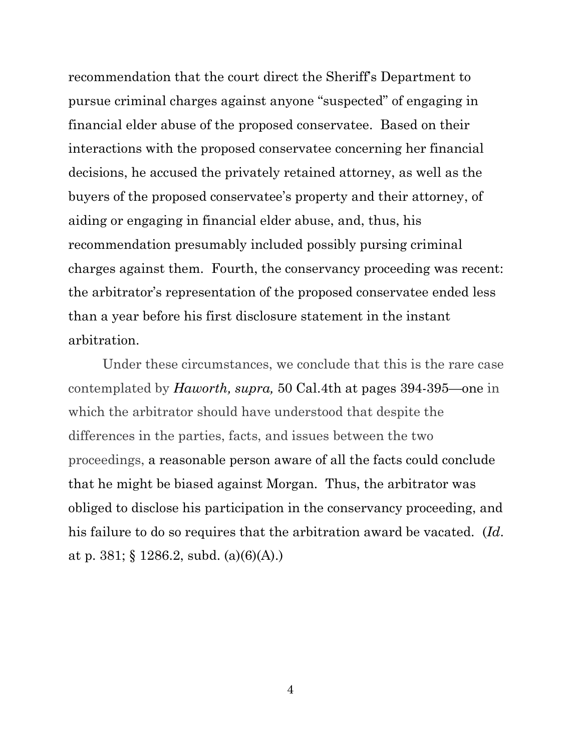recommendation that the court direct the Sheriff's Department to pursue criminal charges against anyone "suspected" of engaging in financial elder abuse of the proposed conservatee. Based on their interactions with the proposed conservatee concerning her financial decisions, he accused the privately retained attorney, as well as the buyers of the proposed conservatee's property and their attorney, of aiding or engaging in financial elder abuse, and, thus, his recommendation presumably included possibly pursing criminal charges against them. Fourth, the conservancy proceeding was recent: the arbitrator's representation of the proposed conservatee ended less than a year before his first disclosure statement in the instant arbitration.

Under these circumstances, we conclude that this is the rare case contemplated by *Haworth, supra,* 50 Cal.4th at pages 394-395—one in which the arbitrator should have understood that despite the differences in the parties, facts, and issues between the two proceedings, a reasonable person aware of all the facts could conclude that he might be biased against Morgan. Thus, the arbitrator was obliged to disclose his participation in the conservancy proceeding, and his failure to do so requires that the arbitration award be vacated. (*Id*. at p. 381; § 1286.2, subd.  $(a)(6)(A)$ .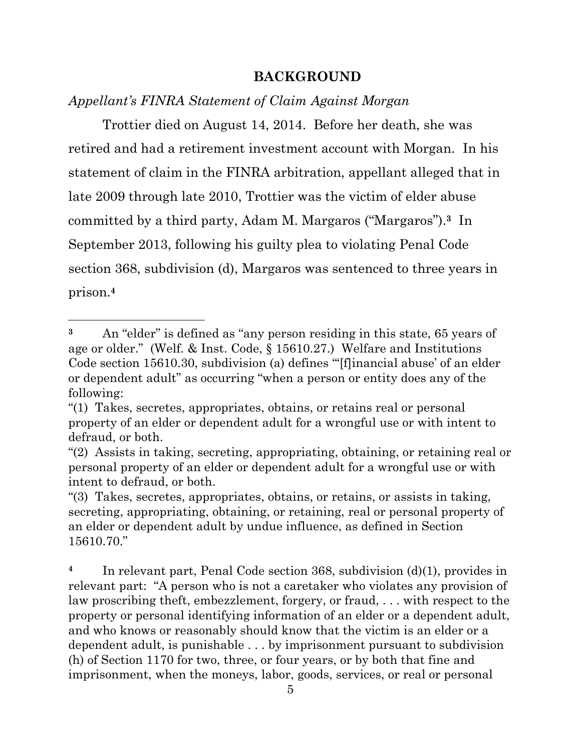## **BACKGROUND**

*Appellant's FINRA Statement of Claim Against Morgan*

Trottier died on August 14, 2014. Before her death, she was retired and had a retirement investment account with Morgan. In his statement of claim in the FINRA arbitration, appellant alleged that in late 2009 through late 2010, Trottier was the victim of elder abuse committed by a third party, Adam M. Margaros ("Margaros"). **<sup>3</sup>** In September 2013, following his guilty plea to violating Penal Code section 368, subdivision (d), Margaros was sentenced to three years in prison. **4**

**<sup>4</sup>** In relevant part, Penal Code section 368, subdivision (d)(1), provides in relevant part: "A person who is not a caretaker who violates any provision of law proscribing theft, embezzlement, forgery, or fraud, . . . with respect to the property or personal identifying information of an elder or a dependent adult, and who knows or reasonably should know that the victim is an elder or a dependent adult, is punishable . . . by imprisonment pursuant to subdivision (h) of Section 1170 for two, three, or four years, or by both that fine and imprisonment, when the moneys, labor, goods, services, or real or personal

**<sup>3</sup>** An "elder" is defined as "any person residing in this state, 65 years of age or older." (Welf. & Inst. Code, § 15610.27.) Welfare and Institutions Code section 15610.30, subdivision (a) defines "'[f]inancial abuse' of an elder or dependent adult" as occurring "when a person or entity does any of the following:

<sup>&</sup>quot;(1) Takes, secretes, appropriates, obtains, or retains real or personal property of an elder or dependent adult for a wrongful use or with intent to defraud, or both.

<sup>&</sup>quot;(2) Assists in taking, secreting, appropriating, obtaining, or retaining real or personal property of an elder or dependent adult for a wrongful use or with intent to defraud, or both.

<sup>&</sup>quot;(3) Takes, secretes, appropriates, obtains, or retains, or assists in taking, secreting, appropriating, obtaining, or retaining, real or personal property of an elder or dependent adult by undue influence, as defined in Section 15610.70."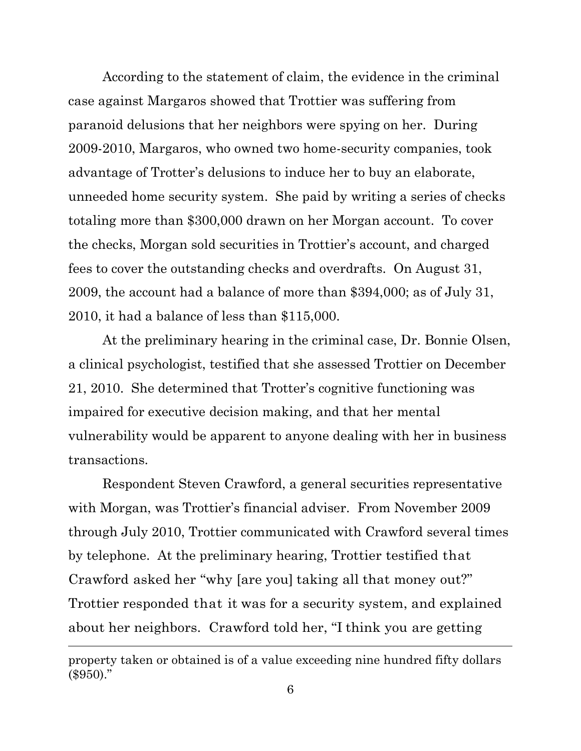According to the statement of claim, the evidence in the criminal case against Margaros showed that Trottier was suffering from paranoid delusions that her neighbors were spying on her. During 2009-2010, Margaros, who owned two home-security companies, took advantage of Trotter's delusions to induce her to buy an elaborate, unneeded home security system. She paid by writing a series of checks totaling more than \$300,000 drawn on her Morgan account. To cover the checks, Morgan sold securities in Trottier's account, and charged fees to cover the outstanding checks and overdrafts. On August 31, 2009, the account had a balance of more than \$394,000; as of July 31, 2010, it had a balance of less than \$115,000.

At the preliminary hearing in the criminal case, Dr. Bonnie Olsen, a clinical psychologist, testified that she assessed Trottier on December 21, 2010. She determined that Trotter's cognitive functioning was impaired for executive decision making, and that her mental vulnerability would be apparent to anyone dealing with her in business transactions.

Respondent Steven Crawford, a general securities representative with Morgan, was Trottier's financial adviser. From November 2009 through July 2010, Trottier communicated with Crawford several times by telephone. At the preliminary hearing, Trottier testified that Crawford asked her "why [are you] taking all that money out?" Trottier responded that it was for a security system, and explained about her neighbors. Crawford told her, "I think you are getting

property taken or obtained is of a value exceeding nine hundred fifty dollars  $(*950."$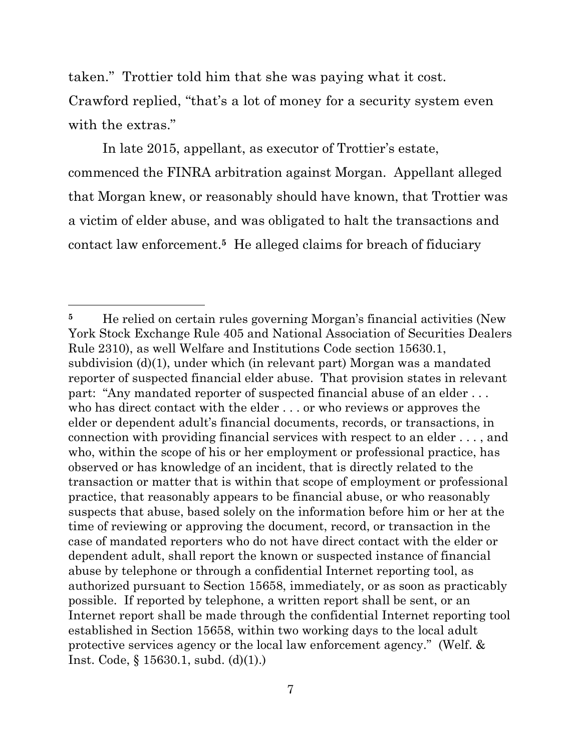taken." Trottier told him that she was paying what it cost. Crawford replied, "that's a lot of money for a security system even with the extras."

In late 2015, appellant, as executor of Trottier's estate, commenced the FINRA arbitration against Morgan. Appellant alleged that Morgan knew, or reasonably should have known, that Trottier was a victim of elder abuse, and was obligated to halt the transactions and contact law enforcement.**<sup>5</sup>** He alleged claims for breach of fiduciary

<sup>&</sup>lt;sup>5</sup> He relied on certain rules governing Morgan's financial activities (New York Stock Exchange Rule 405 and National Association of Securities Dealers Rule 2310), as well Welfare and Institutions Code section 15630.1, subdivision (d)(1), under which (in relevant part) Morgan was a mandated reporter of suspected financial elder abuse. That provision states in relevant part: "Any mandated reporter of suspected financial abuse of an elder . . . who has direct contact with the elder . . . or who reviews or approves the elder or dependent adult's financial documents, records, or transactions, in connection with providing financial services with respect to an elder . . . , and who, within the scope of his or her employment or professional practice, has observed or has knowledge of an incident, that is directly related to the transaction or matter that is within that scope of employment or professional practice, that reasonably appears to be financial abuse, or who reasonably suspects that abuse, based solely on the information before him or her at the time of reviewing or approving the document, record, or transaction in the case of mandated reporters who do not have direct contact with the elder or dependent adult, shall report the known or suspected instance of financial abuse by telephone or through a confidential Internet reporting tool, as authorized pursuant to Section 15658, immediately, or as soon as practicably possible. If reported by telephone, a written report shall be sent, or an Internet report shall be made through the confidential Internet reporting tool established in Section 15658, within two working days to the local adult protective services agency or the local law enforcement agency." (Welf. & Inst. Code, § 15630.1, subd. (d)(1).)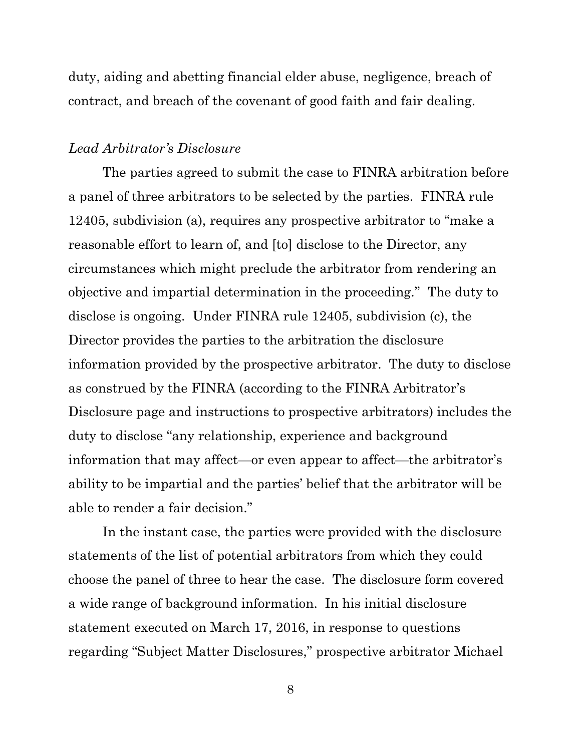duty, aiding and abetting financial elder abuse, negligence, breach of contract, and breach of the covenant of good faith and fair dealing.

#### *Lead Arbitrator's Disclosure*

The parties agreed to submit the case to FINRA arbitration before a panel of three arbitrators to be selected by the parties. FINRA rule 12405, subdivision (a), requires any prospective arbitrator to "make a reasonable effort to learn of, and [to] disclose to the Director, any circumstances which might preclude the arbitrator from rendering an objective and impartial determination in the proceeding." The duty to disclose is ongoing. Under FINRA rule 12405, subdivision (c), the Director provides the parties to the arbitration the disclosure information provided by the prospective arbitrator. The duty to disclose as construed by the FINRA (according to the FINRA Arbitrator's Disclosure page and instructions to prospective arbitrators) includes the duty to disclose "any relationship, experience and background information that may affect—or even appear to affect—the arbitrator's ability to be impartial and the parties' belief that the arbitrator will be able to render a fair decision."

In the instant case, the parties were provided with the disclosure statements of the list of potential arbitrators from which they could choose the panel of three to hear the case. The disclosure form covered a wide range of background information. In his initial disclosure statement executed on March 17, 2016, in response to questions regarding "Subject Matter Disclosures," prospective arbitrator Michael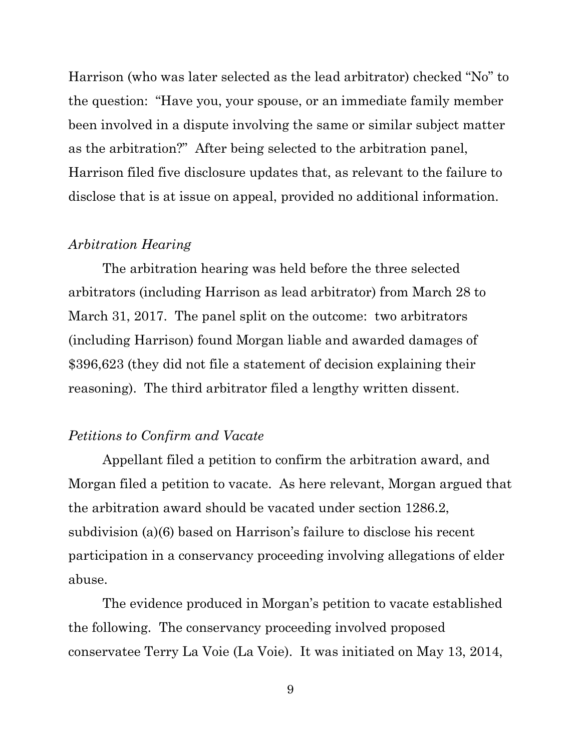Harrison (who was later selected as the lead arbitrator) checked "No" to the question: "Have you, your spouse, or an immediate family member been involved in a dispute involving the same or similar subject matter as the arbitration?" After being selected to the arbitration panel, Harrison filed five disclosure updates that, as relevant to the failure to disclose that is at issue on appeal, provided no additional information.

#### *Arbitration Hearing*

The arbitration hearing was held before the three selected arbitrators (including Harrison as lead arbitrator) from March 28 to March 31, 2017. The panel split on the outcome: two arbitrators (including Harrison) found Morgan liable and awarded damages of \$396,623 (they did not file a statement of decision explaining their reasoning). The third arbitrator filed a lengthy written dissent.

#### *Petitions to Confirm and Vacate*

Appellant filed a petition to confirm the arbitration award, and Morgan filed a petition to vacate. As here relevant, Morgan argued that the arbitration award should be vacated under section 1286.2, subdivision (a)(6) based on Harrison's failure to disclose his recent participation in a conservancy proceeding involving allegations of elder abuse.

The evidence produced in Morgan's petition to vacate established the following. The conservancy proceeding involved proposed conservatee Terry La Voie (La Voie). It was initiated on May 13, 2014,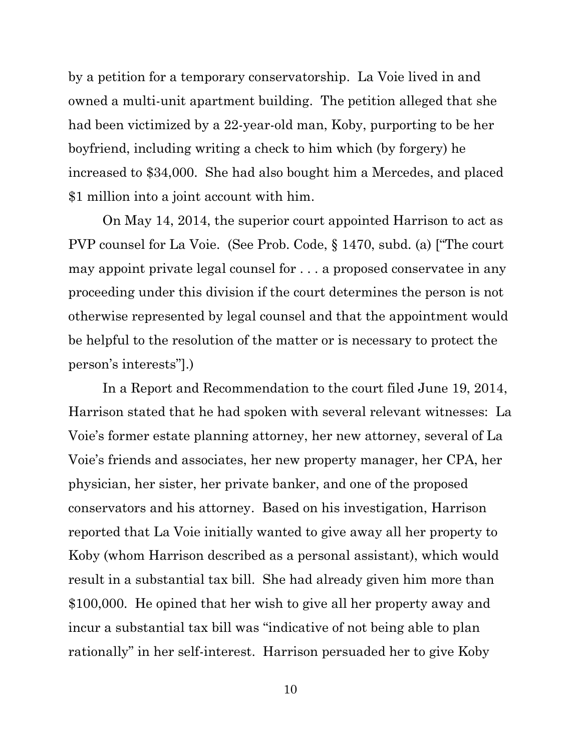by a petition for a temporary conservatorship. La Voie lived in and owned a multi-unit apartment building. The petition alleged that she had been victimized by a 22-year-old man, Koby, purporting to be her boyfriend, including writing a check to him which (by forgery) he increased to \$34,000. She had also bought him a Mercedes, and placed \$1 million into a joint account with him.

On May 14, 2014, the superior court appointed Harrison to act as PVP counsel for La Voie. (See Prob. Code, § 1470, subd. (a) ["The court may appoint private legal counsel for . . . a proposed conservatee in any proceeding under this division if the court determines the person is not otherwise represented by legal counsel and that the appointment would be helpful to the resolution of the matter or is necessary to protect the person's interests"].)

In a Report and Recommendation to the court filed June 19, 2014, Harrison stated that he had spoken with several relevant witnesses: La Voie's former estate planning attorney, her new attorney, several of La Voie's friends and associates, her new property manager, her CPA, her physician, her sister, her private banker, and one of the proposed conservators and his attorney. Based on his investigation, Harrison reported that La Voie initially wanted to give away all her property to Koby (whom Harrison described as a personal assistant), which would result in a substantial tax bill. She had already given him more than \$100,000. He opined that her wish to give all her property away and incur a substantial tax bill was "indicative of not being able to plan rationally" in her self-interest. Harrison persuaded her to give Koby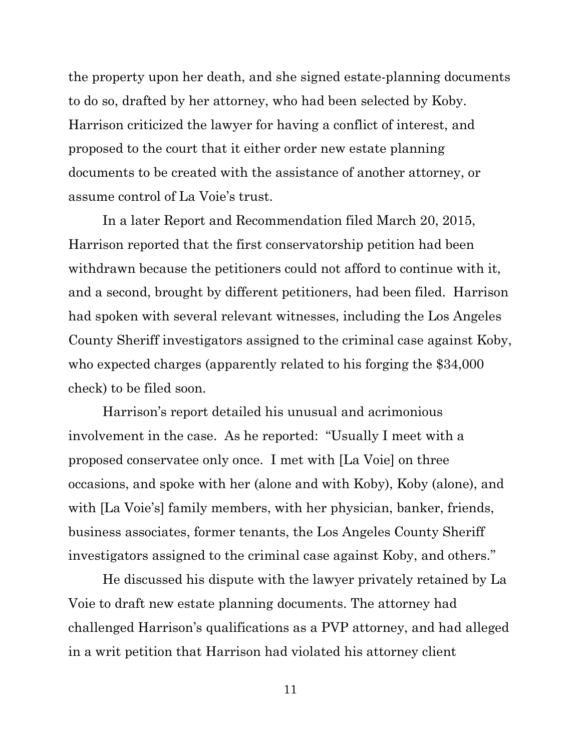the property upon her death, and she signed estate-planning documents to do so, drafted by her attorney, who had been selected by Koby. Harrison criticized the lawyer for having a conflict of interest, and proposed to the court that it either order new estate planning documents to be created with the assistance of another attorney, or assume control of La Voie's trust.

In a later Report and Recommendation filed March 20, 2015, Harrison reported that the first conservatorship petition had been withdrawn because the petitioners could not afford to continue with it, and a second, brought by different petitioners, had been filed. Harrison had spoken with several relevant witnesses, including the Los Angeles County Sheriff investigators assigned to the criminal case against Koby, who expected charges (apparently related to his forging the \$34,000 check) to be filed soon.

Harrison's report detailed his unusual and acrimonious involvement in the case. As he reported: "Usually I meet with a proposed conservatee only once. I met with [La Voie] on three occasions, and spoke with her (alone and with Koby), Koby (alone), and with [La Voie's] family members, with her physician, banker, friends, business associates, former tenants, the Los Angeles County Sheriff investigators assigned to the criminal case against Koby, and others."

He discussed his dispute with the lawyer privately retained by La Voie to draft new estate planning documents. The attorney had challenged Harrison's qualifications as a PVP attorney, and had alleged in a writ petition that Harrison had violated his attorney client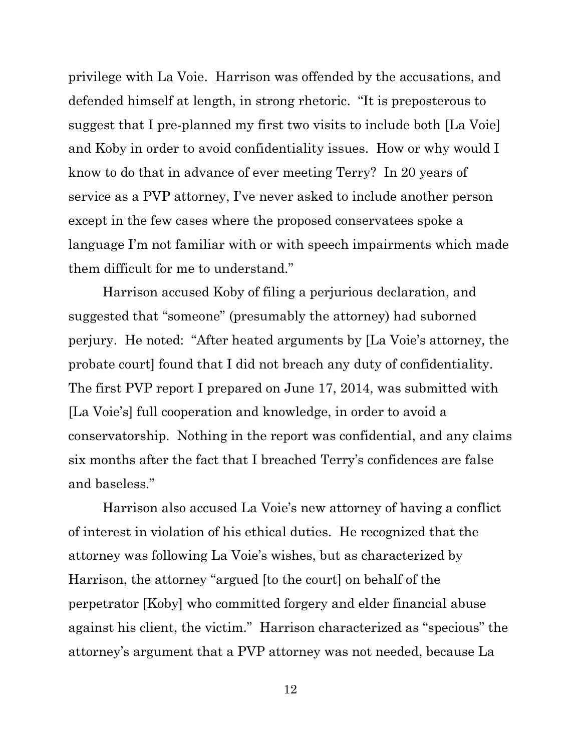privilege with La Voie. Harrison was offended by the accusations, and defended himself at length, in strong rhetoric. "It is preposterous to suggest that I pre-planned my first two visits to include both [La Voie] and Koby in order to avoid confidentiality issues. How or why would I know to do that in advance of ever meeting Terry? In 20 years of service as a PVP attorney, I've never asked to include another person except in the few cases where the proposed conservatees spoke a language I'm not familiar with or with speech impairments which made them difficult for me to understand."

Harrison accused Koby of filing a perjurious declaration, and suggested that "someone" (presumably the attorney) had suborned perjury. He noted: "After heated arguments by [La Voie's attorney, the probate court] found that I did not breach any duty of confidentiality. The first PVP report I prepared on June 17, 2014, was submitted with [La Voie's] full cooperation and knowledge, in order to avoid a conservatorship. Nothing in the report was confidential, and any claims six months after the fact that I breached Terry's confidences are false and baseless."

Harrison also accused La Voie's new attorney of having a conflict of interest in violation of his ethical duties. He recognized that the attorney was following La Voie's wishes, but as characterized by Harrison, the attorney "argued [to the court] on behalf of the perpetrator [Koby] who committed forgery and elder financial abuse against his client, the victim." Harrison characterized as "specious" the attorney's argument that a PVP attorney was not needed, because La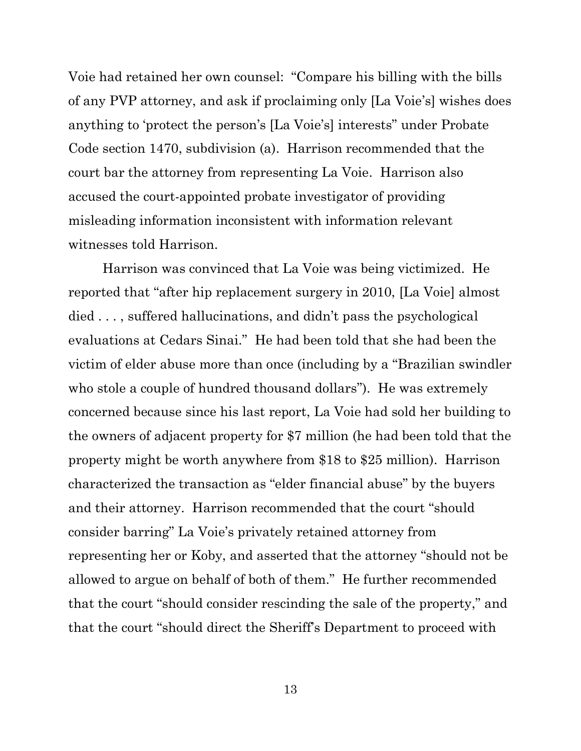Voie had retained her own counsel: "Compare his billing with the bills of any PVP attorney, and ask if proclaiming only [La Voie's] wishes does anything to 'protect the person's [La Voie's] interests" under Probate Code section 1470, subdivision (a). Harrison recommended that the court bar the attorney from representing La Voie. Harrison also accused the court-appointed probate investigator of providing misleading information inconsistent with information relevant witnesses told Harrison.

Harrison was convinced that La Voie was being victimized. He reported that "after hip replacement surgery in 2010, [La Voie] almost died . . . , suffered hallucinations, and didn't pass the psychological evaluations at Cedars Sinai." He had been told that she had been the victim of elder abuse more than once (including by a "Brazilian swindler who stole a couple of hundred thousand dollars"). He was extremely concerned because since his last report, La Voie had sold her building to the owners of adjacent property for \$7 million (he had been told that the property might be worth anywhere from \$18 to \$25 million). Harrison characterized the transaction as "elder financial abuse" by the buyers and their attorney. Harrison recommended that the court "should consider barring" La Voie's privately retained attorney from representing her or Koby, and asserted that the attorney "should not be allowed to argue on behalf of both of them." He further recommended that the court "should consider rescinding the sale of the property," and that the court "should direct the Sheriff's Department to proceed with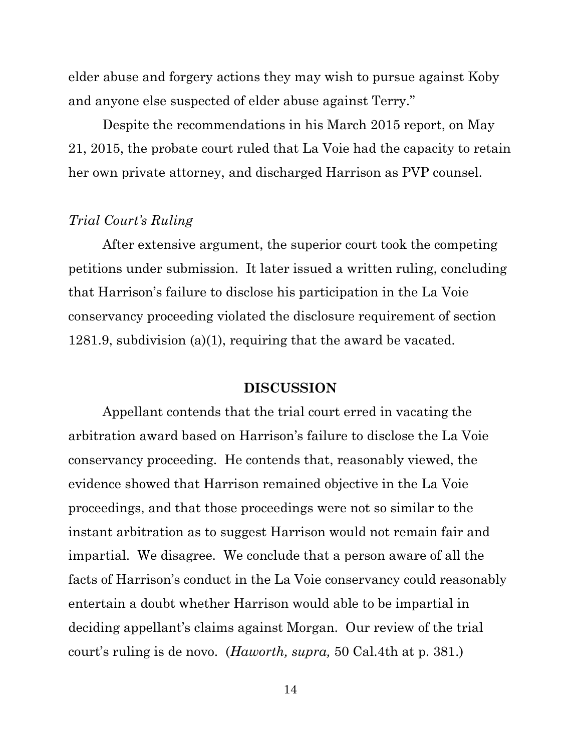elder abuse and forgery actions they may wish to pursue against Koby and anyone else suspected of elder abuse against Terry."

Despite the recommendations in his March 2015 report, on May 21, 2015, the probate court ruled that La Voie had the capacity to retain her own private attorney, and discharged Harrison as PVP counsel.

## *Trial Court's Ruling*

After extensive argument, the superior court took the competing petitions under submission. It later issued a written ruling, concluding that Harrison's failure to disclose his participation in the La Voie conservancy proceeding violated the disclosure requirement of section 1281.9, subdivision (a)(1), requiring that the award be vacated.

#### **DISCUSSION**

Appellant contends that the trial court erred in vacating the arbitration award based on Harrison's failure to disclose the La Voie conservancy proceeding. He contends that, reasonably viewed, the evidence showed that Harrison remained objective in the La Voie proceedings, and that those proceedings were not so similar to the instant arbitration as to suggest Harrison would not remain fair and impartial. We disagree. We conclude that a person aware of all the facts of Harrison's conduct in the La Voie conservancy could reasonably entertain a doubt whether Harrison would able to be impartial in deciding appellant's claims against Morgan. Our review of the trial court's ruling is de novo. (*Haworth, supra,* 50 Cal.4th at p. 381.)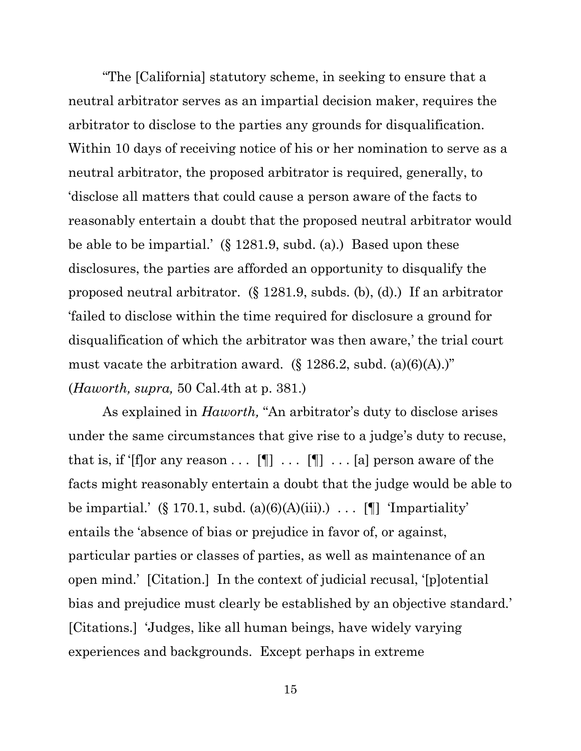"The [California] statutory scheme, in seeking to ensure that a neutral arbitrator serves as an impartial decision maker, requires the arbitrator to disclose to the parties any grounds for disqualification. Within 10 days of receiving notice of his or her nomination to serve as a neutral arbitrator, the proposed arbitrator is required, generally, to 'disclose all matters that could cause a person aware of the facts to reasonably entertain a doubt that the proposed neutral arbitrator would be able to be impartial.' (§ 1281.9, subd. (a).) Based upon these disclosures, the parties are afforded an opportunity to disqualify the proposed neutral arbitrator. (§ 1281.9, subds. (b), (d).) If an arbitrator 'failed to disclose within the time required for disclosure a ground for disqualification of which the arbitrator was then aware,' the trial court must vacate the arbitration award.  $(\S 1286.2, \text{subd. (a)(6)(A)})$ " (*Haworth, supra,* 50 Cal.4th at p. 381.)

As explained in *Haworth,* "An arbitrator's duty to disclose arises under the same circumstances that give rise to a judge's duty to recuse, that is, if '[f]or any reason . . .  $[\P]$  . . . [ $\P$ ] . . . [a] person aware of the facts might reasonably entertain a doubt that the judge would be able to be impartial.' (§ 170.1, subd. (a)(6)(A)(iii).)  $\ldots$  [[] 'Impartiality' entails the 'absence of bias or prejudice in favor of, or against, particular parties or classes of parties, as well as maintenance of an open mind.' [Citation.] In the context of judicial recusal, '[p]otential bias and prejudice must clearly be established by an objective standard.' [Citations.] 'Judges, like all human beings, have widely varying experiences and backgrounds. Except perhaps in extreme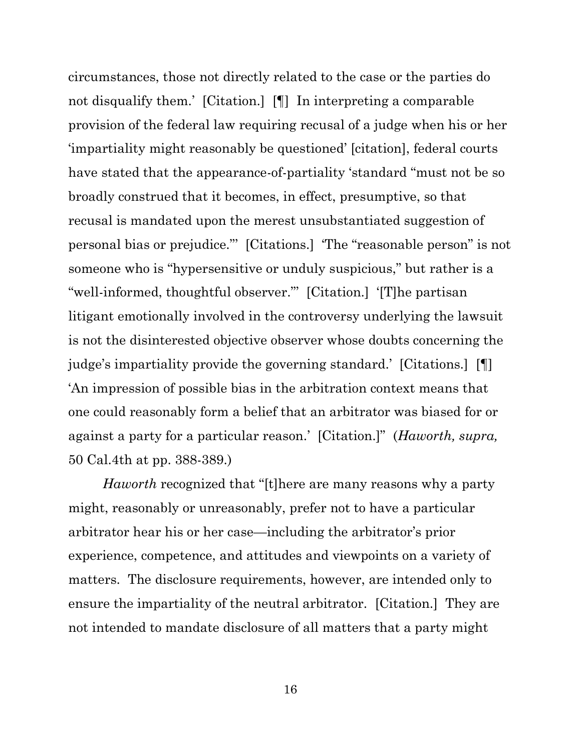circumstances, those not directly related to the case or the parties do not disqualify them.' [Citation.] [¶] In interpreting a comparable provision of the federal law requiring recusal of a judge when his or her 'impartiality might reasonably be questioned' [citation], federal courts have stated that the appearance-of-partiality 'standard "must not be so broadly construed that it becomes, in effect, presumptive, so that recusal is mandated upon the merest unsubstantiated suggestion of personal bias or prejudice."' [Citations.] 'The "reasonable person" is not someone who is "hypersensitive or unduly suspicious," but rather is a "well-informed, thoughtful observer."' [Citation.] '[T]he partisan litigant emotionally involved in the controversy underlying the lawsuit is not the disinterested objective observer whose doubts concerning the judge's impartiality provide the governing standard.' [Citations.] [¶] 'An impression of possible bias in the arbitration context means that one could reasonably form a belief that an arbitrator was biased for or against a party for a particular reason.' [Citation.]" (*Haworth, supra,*  50 Cal.4th at pp. 388-389.)

*Haworth* recognized that "[t]here are many reasons why a party might, reasonably or unreasonably, prefer not to have a particular arbitrator hear his or her case—including the arbitrator's prior experience, competence, and attitudes and viewpoints on a variety of matters. The disclosure requirements, however, are intended only to ensure the impartiality of the neutral arbitrator. [Citation.] They are not intended to mandate disclosure of all matters that a party might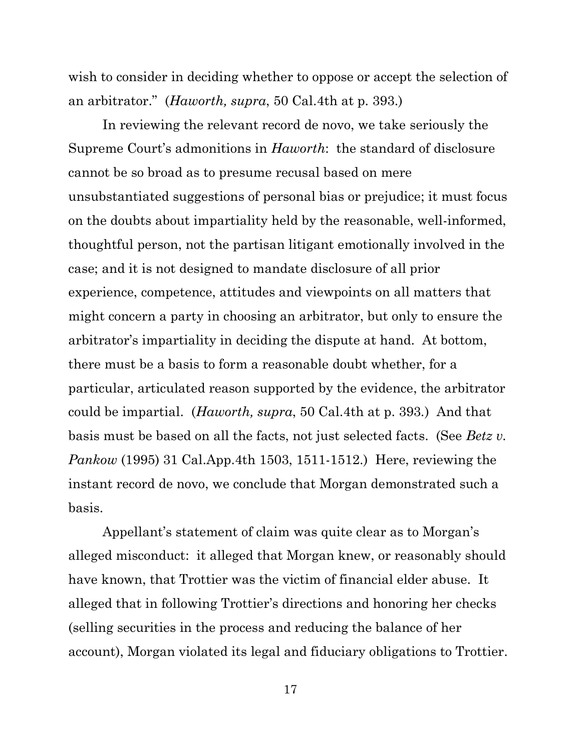wish to consider in deciding whether to oppose or accept the selection of an arbitrator." (*Haworth, supra*, 50 Cal.4th at p. 393.)

In reviewing the relevant record de novo, we take seriously the Supreme Court's admonitions in *Haworth*: the standard of disclosure cannot be so broad as to presume recusal based on mere unsubstantiated suggestions of personal bias or prejudice; it must focus on the doubts about impartiality held by the reasonable, well-informed, thoughtful person, not the partisan litigant emotionally involved in the case; and it is not designed to mandate disclosure of all prior experience, competence, attitudes and viewpoints on all matters that might concern a party in choosing an arbitrator, but only to ensure the arbitrator's impartiality in deciding the dispute at hand. At bottom, there must be a basis to form a reasonable doubt whether, for a particular, articulated reason supported by the evidence, the arbitrator could be impartial. (*Haworth, supra*, 50 Cal.4th at p. 393*.*) And that basis must be based on all the facts, not just selected facts. (See *Betz v. Pankow* (1995) 31 Cal.App.4th 1503, 1511-1512.) Here, reviewing the instant record de novo, we conclude that Morgan demonstrated such a basis.

Appellant's statement of claim was quite clear as to Morgan's alleged misconduct: it alleged that Morgan knew, or reasonably should have known, that Trottier was the victim of financial elder abuse. It alleged that in following Trottier's directions and honoring her checks (selling securities in the process and reducing the balance of her account), Morgan violated its legal and fiduciary obligations to Trottier.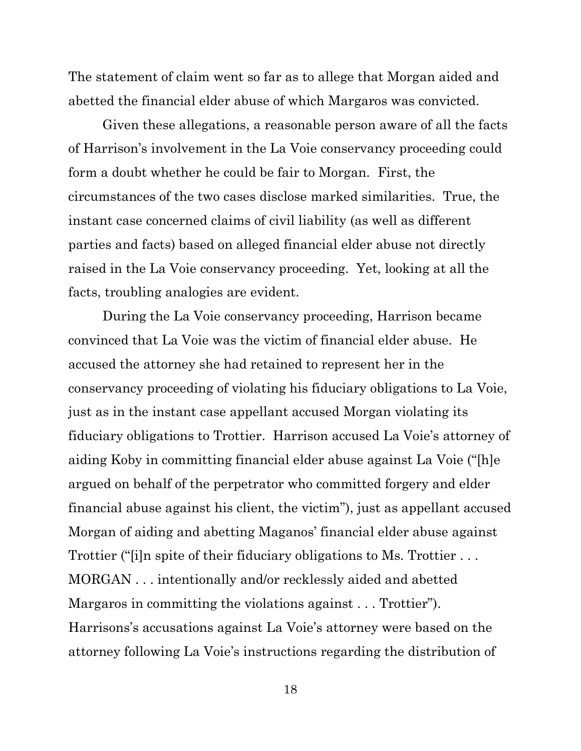The statement of claim went so far as to allege that Morgan aided and abetted the financial elder abuse of which Margaros was convicted.

Given these allegations, a reasonable person aware of all the facts of Harrison's involvement in the La Voie conservancy proceeding could form a doubt whether he could be fair to Morgan. First, the circumstances of the two cases disclose marked similarities. True, the instant case concerned claims of civil liability (as well as different parties and facts) based on alleged financial elder abuse not directly raised in the La Voie conservancy proceeding. Yet, looking at all the facts, troubling analogies are evident.

During the La Voie conservancy proceeding, Harrison became convinced that La Voie was the victim of financial elder abuse. He accused the attorney she had retained to represent her in the conservancy proceeding of violating his fiduciary obligations to La Voie, just as in the instant case appellant accused Morgan violating its fiduciary obligations to Trottier. Harrison accused La Voie's attorney of aiding Koby in committing financial elder abuse against La Voie ("[h]e argued on behalf of the perpetrator who committed forgery and elder financial abuse against his client, the victim"), just as appellant accused Morgan of aiding and abetting Maganos' financial elder abuse against Trottier ("[i]n spite of their fiduciary obligations to Ms. Trottier . . . MORGAN . . . intentionally and/or recklessly aided and abetted Margaros in committing the violations against . . . Trottier"). Harrisons's accusations against La Voie's attorney were based on the attorney following La Voie's instructions regarding the distribution of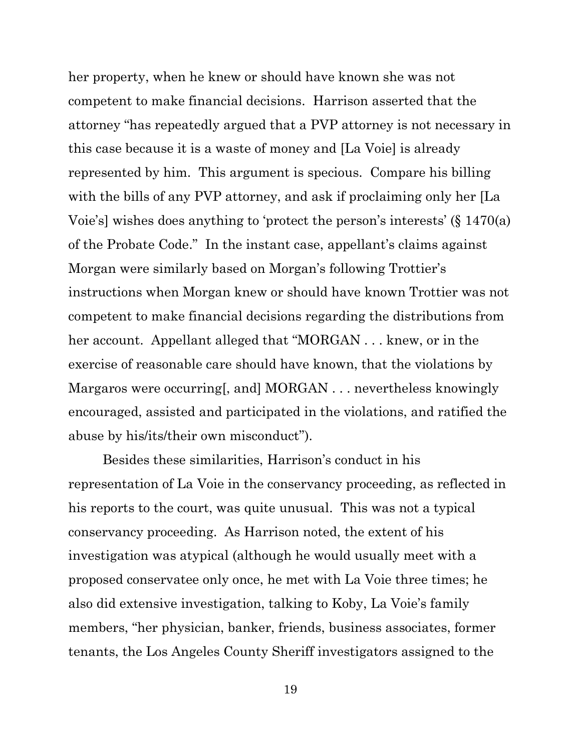her property, when he knew or should have known she was not competent to make financial decisions. Harrison asserted that the attorney "has repeatedly argued that a PVP attorney is not necessary in this case because it is a waste of money and [La Voie] is already represented by him. This argument is specious. Compare his billing with the bills of any PVP attorney, and ask if proclaiming only her [La Voie's] wishes does anything to 'protect the person's interests' (§ 1470(a) of the Probate Code." In the instant case, appellant's claims against Morgan were similarly based on Morgan's following Trottier's instructions when Morgan knew or should have known Trottier was not competent to make financial decisions regarding the distributions from her account. Appellant alleged that "MORGAN . . . knew, or in the exercise of reasonable care should have known, that the violations by Margaros were occurring, and MORGAN . . . nevertheless knowingly encouraged, assisted and participated in the violations, and ratified the abuse by his/its/their own misconduct").

Besides these similarities, Harrison's conduct in his representation of La Voie in the conservancy proceeding, as reflected in his reports to the court, was quite unusual. This was not a typical conservancy proceeding. As Harrison noted, the extent of his investigation was atypical (although he would usually meet with a proposed conservatee only once, he met with La Voie three times; he also did extensive investigation, talking to Koby, La Voie's family members, "her physician, banker, friends, business associates, former tenants, the Los Angeles County Sheriff investigators assigned to the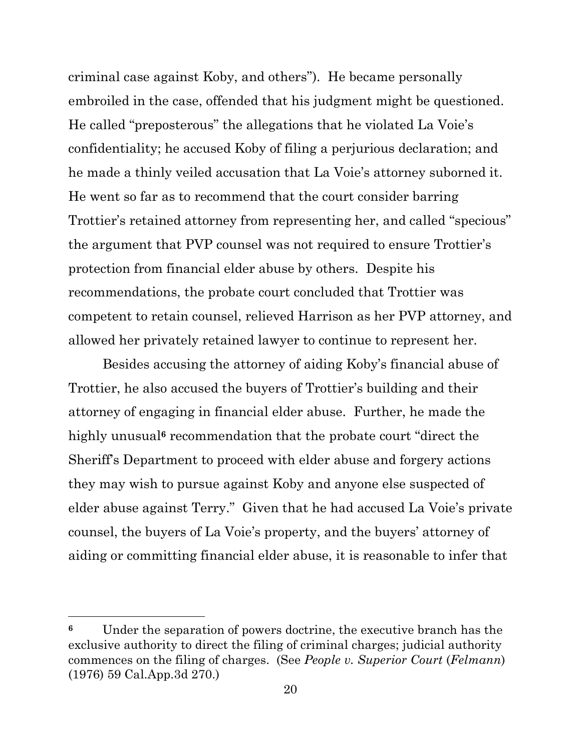criminal case against Koby, and others"). He became personally embroiled in the case, offended that his judgment might be questioned. He called "preposterous" the allegations that he violated La Voie's confidentiality; he accused Koby of filing a perjurious declaration; and he made a thinly veiled accusation that La Voie's attorney suborned it. He went so far as to recommend that the court consider barring Trottier's retained attorney from representing her, and called "specious" the argument that PVP counsel was not required to ensure Trottier's protection from financial elder abuse by others. Despite his recommendations, the probate court concluded that Trottier was competent to retain counsel, relieved Harrison as her PVP attorney, and allowed her privately retained lawyer to continue to represent her.

Besides accusing the attorney of aiding Koby's financial abuse of Trottier, he also accused the buyers of Trottier's building and their attorney of engaging in financial elder abuse. Further, he made the highly unusual<sup>6</sup> recommendation that the probate court "direct the Sheriff's Department to proceed with elder abuse and forgery actions they may wish to pursue against Koby and anyone else suspected of elder abuse against Terry." Given that he had accused La Voie's private counsel, the buyers of La Voie's property, and the buyers' attorney of aiding or committing financial elder abuse, it is reasonable to infer that

**<sup>6</sup>** Under the separation of powers doctrine, the executive branch has the exclusive authority to direct the filing of criminal charges; judicial authority commences on the filing of charges. (See *People v. Superior Court* (*Felmann*) (1976) 59 Cal.App.3d 270.)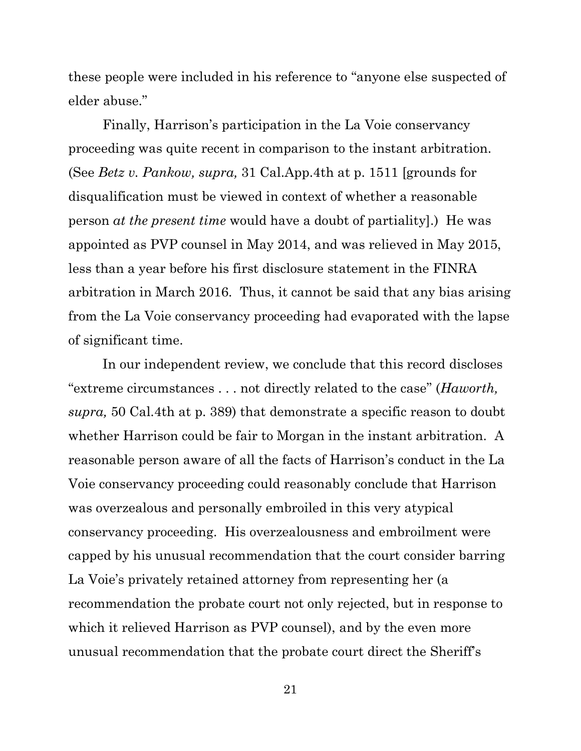these people were included in his reference to "anyone else suspected of elder abuse."

Finally, Harrison's participation in the La Voie conservancy proceeding was quite recent in comparison to the instant arbitration. (See *Betz v. Pankow, supra,* 31 Cal.App.4th at p. 1511 [grounds for disqualification must be viewed in context of whether a reasonable person *at the present time* would have a doubt of partiality].) He was appointed as PVP counsel in May 2014, and was relieved in May 2015, less than a year before his first disclosure statement in the FINRA arbitration in March 2016. Thus, it cannot be said that any bias arising from the La Voie conservancy proceeding had evaporated with the lapse of significant time.

In our independent review, we conclude that this record discloses "extreme circumstances . . . not directly related to the case" (*Haworth, supra,* 50 Cal.4th at p. 389) that demonstrate a specific reason to doubt whether Harrison could be fair to Morgan in the instant arbitration. A reasonable person aware of all the facts of Harrison's conduct in the La Voie conservancy proceeding could reasonably conclude that Harrison was overzealous and personally embroiled in this very atypical conservancy proceeding. His overzealousness and embroilment were capped by his unusual recommendation that the court consider barring La Voie's privately retained attorney from representing her (a recommendation the probate court not only rejected, but in response to which it relieved Harrison as PVP counsel), and by the even more unusual recommendation that the probate court direct the Sheriff's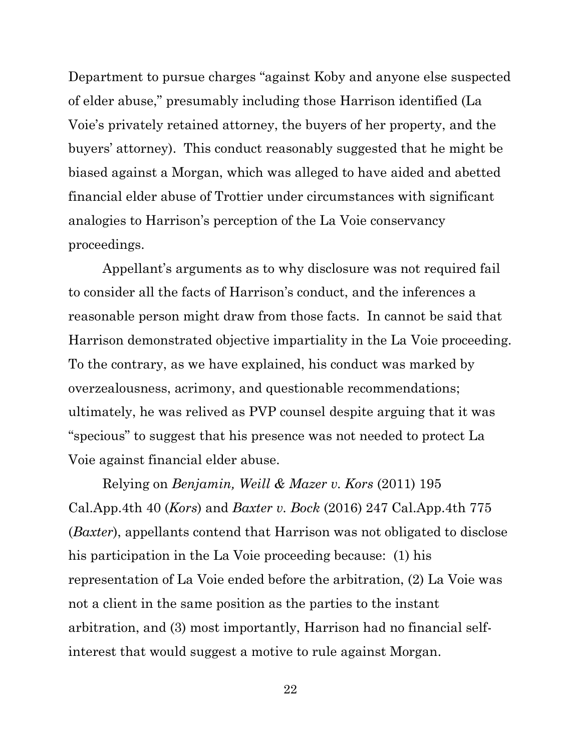Department to pursue charges "against Koby and anyone else suspected of elder abuse," presumably including those Harrison identified (La Voie's privately retained attorney, the buyers of her property, and the buyers' attorney). This conduct reasonably suggested that he might be biased against a Morgan, which was alleged to have aided and abetted financial elder abuse of Trottier under circumstances with significant analogies to Harrison's perception of the La Voie conservancy proceedings.

Appellant's arguments as to why disclosure was not required fail to consider all the facts of Harrison's conduct, and the inferences a reasonable person might draw from those facts. In cannot be said that Harrison demonstrated objective impartiality in the La Voie proceeding. To the contrary, as we have explained, his conduct was marked by overzealousness, acrimony, and questionable recommendations; ultimately, he was relived as PVP counsel despite arguing that it was "specious" to suggest that his presence was not needed to protect La Voie against financial elder abuse.

Relying on *Benjamin, Weill & Mazer v. Kors* (2011) 195 Cal.App.4th 40 (*Kors*) and *Baxter v. Bock* (2016) 247 Cal.App.4th 775 (*Baxter*), appellants contend that Harrison was not obligated to disclose his participation in the La Voie proceeding because: (1) his representation of La Voie ended before the arbitration, (2) La Voie was not a client in the same position as the parties to the instant arbitration, and (3) most importantly, Harrison had no financial selfinterest that would suggest a motive to rule against Morgan.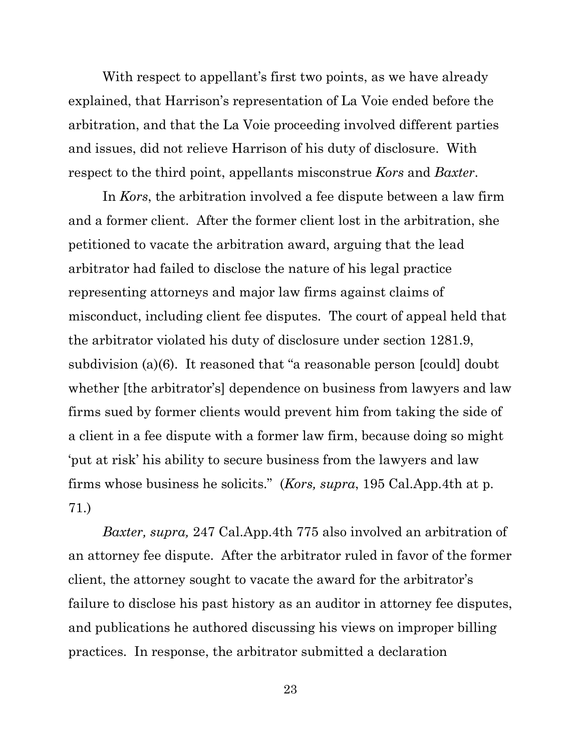With respect to appellant's first two points, as we have already explained, that Harrison's representation of La Voie ended before the arbitration, and that the La Voie proceeding involved different parties and issues, did not relieve Harrison of his duty of disclosure. With respect to the third point, appellants misconstrue *Kors* and *Baxter*.

In *Kors*, the arbitration involved a fee dispute between a law firm and a former client. After the former client lost in the arbitration, she petitioned to vacate the arbitration award, arguing that the lead arbitrator had failed to disclose the nature of his legal practice representing attorneys and major law firms against claims of misconduct, including client fee disputes. The court of appeal held that the arbitrator violated his duty of disclosure under section 1281.9, subdivision (a)(6). It reasoned that "a reasonable person [could] doubt whether [the arbitrator's] dependence on business from lawyers and law firms sued by former clients would prevent him from taking the side of a client in a fee dispute with a former law firm, because doing so might 'put at risk' his ability to secure business from the lawyers and law firms whose business he solicits." (*Kors, supra*, 195 Cal.App.4th at p. 71.)

*Baxter, supra,* 247 Cal.App.4th 775 also involved an arbitration of an attorney fee dispute. After the arbitrator ruled in favor of the former client, the attorney sought to vacate the award for the arbitrator's failure to disclose his past history as an auditor in attorney fee disputes, and publications he authored discussing his views on improper billing practices. In response, the arbitrator submitted a declaration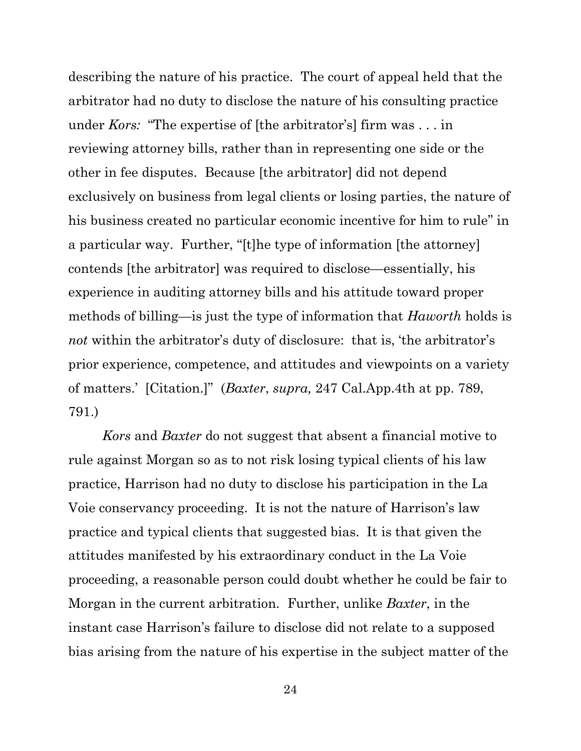describing the nature of his practice. The court of appeal held that the arbitrator had no duty to disclose the nature of his consulting practice under *Kors:* "The expertise of [the arbitrator's] firm was . . . in reviewing attorney bills, rather than in representing one side or the other in fee disputes. Because [the arbitrator] did not depend exclusively on business from legal clients or losing parties, the nature of his business created no particular economic incentive for him to rule" in a particular way. Further, "[t]he type of information [the attorney] contends [the arbitrator] was required to disclose—essentially, his experience in auditing attorney bills and his attitude toward proper methods of billing—is just the type of information that *Haworth* holds is *not* within the arbitrator's duty of disclosure: that is, 'the arbitrator's prior experience, competence, and attitudes and viewpoints on a variety of matters.' [Citation.]" (*Baxter*, *supra,* 247 Cal.App.4th at pp. 789, 791.)

*Kors* and *Baxter* do not suggest that absent a financial motive to rule against Morgan so as to not risk losing typical clients of his law practice, Harrison had no duty to disclose his participation in the La Voie conservancy proceeding. It is not the nature of Harrison's law practice and typical clients that suggested bias. It is that given the attitudes manifested by his extraordinary conduct in the La Voie proceeding, a reasonable person could doubt whether he could be fair to Morgan in the current arbitration. Further, unlike *Baxter*, in the instant case Harrison's failure to disclose did not relate to a supposed bias arising from the nature of his expertise in the subject matter of the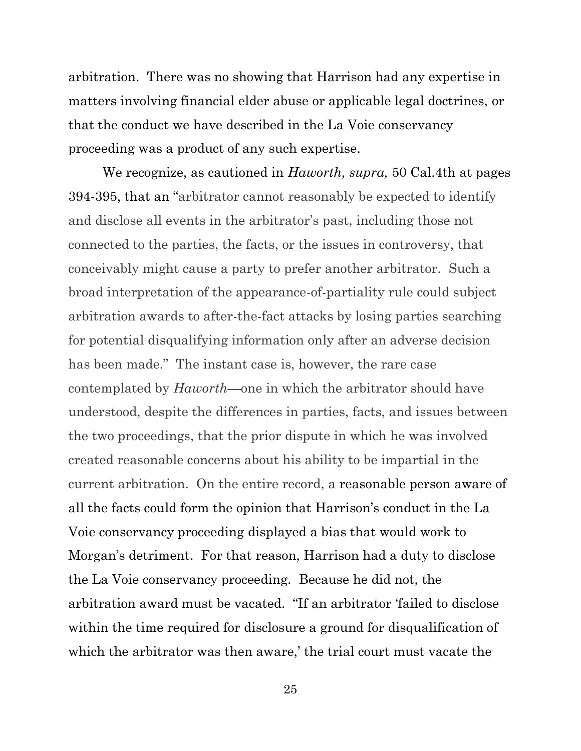arbitration. There was no showing that Harrison had any expertise in matters involving financial elder abuse or applicable legal doctrines, or that the conduct we have described in the La Voie conservancy proceeding was a product of any such expertise.

We recognize, as cautioned in *Haworth, supra,* 50 Cal.4th at pages 394-395, that an "arbitrator cannot reasonably be expected to identify and disclose all events in the arbitrator's past, including those not connected to the parties, the facts, or the issues in controversy, that conceivably might cause a party to prefer another arbitrator. Such a broad interpretation of the appearance-of-partiality rule could subject arbitration awards to after-the-fact attacks by losing parties searching for potential disqualifying information only after an adverse decision has been made." The instant case is, however, the rare case contemplated by *Haworth*—one in which the arbitrator should have understood, despite the differences in parties, facts, and issues between the two proceedings, that the prior dispute in which he was involved created reasonable concerns about his ability to be impartial in the current arbitration. On the entire record, a reasonable person aware of all the facts could form the opinion that Harrison's conduct in the La Voie conservancy proceeding displayed a bias that would work to Morgan's detriment. For that reason, Harrison had a duty to disclose the La Voie conservancy proceeding. Because he did not, the arbitration award must be vacated. "If an arbitrator 'failed to disclose within the time required for disclosure a ground for disqualification of which the arbitrator was then aware,' the trial court must vacate the